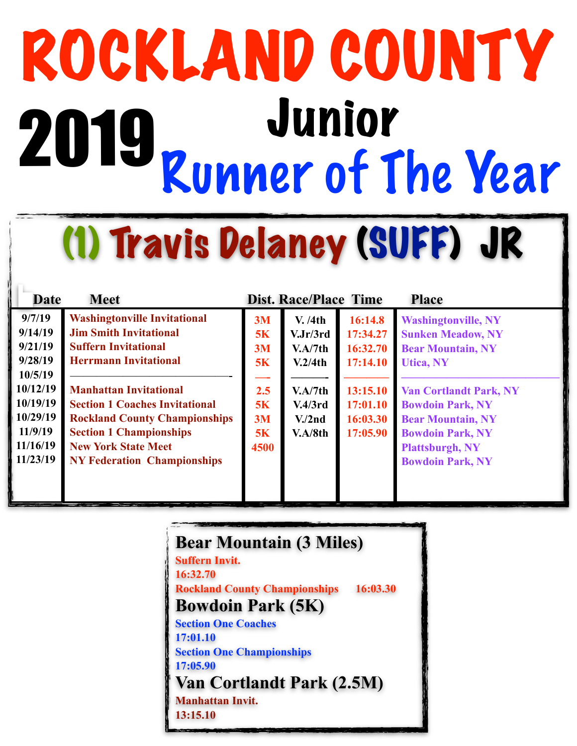# ROCKLAND COUNTY<br>2010 Junior Runner of The Year 2019

(1) Travis Delaney (SUFF) JR

| <b>Date</b> | <b>Meet</b>                           |           | <b>Dist. Race/Place Time</b> |          | <b>Place</b>                  |
|-------------|---------------------------------------|-----------|------------------------------|----------|-------------------------------|
| 9/7/19      | <b>Washingtonville Invitational</b>   | 3M        | V. /4th                      | 16:14.8  | <b>Washingtonville, NY</b>    |
| 9/14/19     | <b>Jim Smith Invitational</b>         | 5K        | V.Jr/3rd                     | 17:34.27 | <b>Sunken Meadow, NY</b>      |
| 9/21/19     | <b>Suffern Invitational</b>           | 3M        | V.A/7th                      | 16:32.70 | <b>Bear Mountain, NY</b>      |
| 9/28/19     | <b>Herrmann Invitational</b>          | <b>5K</b> | V.2/4th                      | 17:14.10 | <b>Utica, NY</b>              |
| 10/5/19     |                                       |           |                              |          |                               |
| 10/12/19    | <b>Manhattan Invitational</b>         | 2.5       | V.A/7th                      | 13:15.10 | <b>Van Cortlandt Park, NY</b> |
| 10/19/19    | <b>Section 1 Coaches Invitational</b> | <b>5K</b> | V.4/3rd                      | 17:01.10 | <b>Bowdoin Park, NY</b>       |
| 10/29/19    | <b>Rockland County Championships</b>  | 3M        | V <sub>1</sub> /2nd          | 16:03.30 | <b>Bear Mountain, NY</b>      |
| 11/9/19     | <b>Section 1 Championships</b>        | 5K        | V.A/8th                      | 17:05.90 | <b>Bowdoin Park, NY</b>       |
| 11/16/19    | <b>New York State Meet</b>            | 4500      |                              |          | <b>Plattsburgh, NY</b>        |
| 11/23/19    | <b>NY Federation Championships</b>    |           |                              |          | <b>Bowdoin Park, NY</b>       |
|             |                                       |           |                              |          |                               |
|             |                                       |           |                              |          |                               |
|             |                                       |           |                              |          |                               |

| <b>Bear Mountain (3 Miles)</b>                   |  |  |  |  |  |
|--------------------------------------------------|--|--|--|--|--|
| <b>Suffern Invit.</b>                            |  |  |  |  |  |
| 16:32.70                                         |  |  |  |  |  |
| 16:03.30<br><b>Rockland County Championships</b> |  |  |  |  |  |
| <b>Bowdoin Park (5K)</b>                         |  |  |  |  |  |
| <b>Section One Coaches</b>                       |  |  |  |  |  |
| 17:01.10                                         |  |  |  |  |  |
| <b>Section One Championships</b>                 |  |  |  |  |  |
| 17:05.90                                         |  |  |  |  |  |
| <b>Van Cortlandt Park (2.5M)</b>                 |  |  |  |  |  |
| <b>Manhattan Invit.</b>                          |  |  |  |  |  |
| 13:15.10                                         |  |  |  |  |  |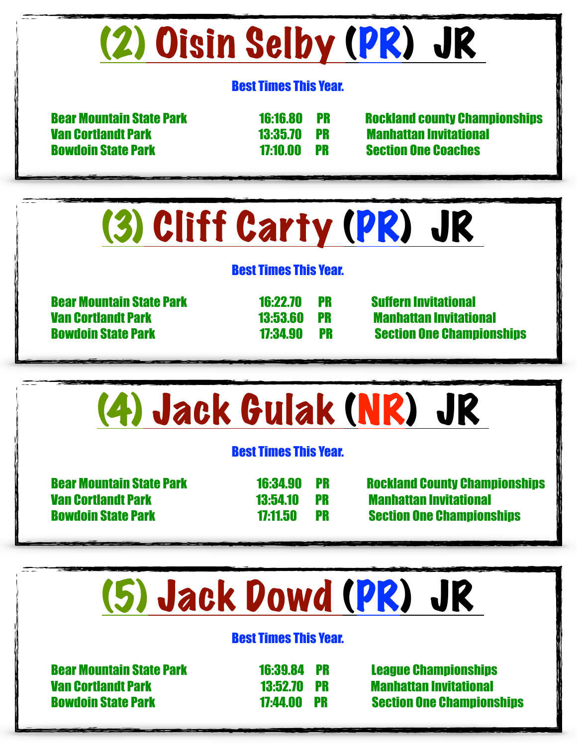### (2) Oisin Selby (PR) JR

#### Best Times This Year.

 Van Cortlandt Park 13:35.70 PR Manhattan Invitational Bowdoin State Park 17:10.00 PR Section One Coaches

Bear Mountain State Park 16:16.80 PR Rockland county Championships

### (3) Cliff Carty (PR) JR

#### Best Times This Year.

 Bear Mountain State Park 16:22.70 PR Suffern Invitational Van Cortlandt Park 13:53.60 PR Manhattan Invitational

Bowdoin State Park 17:34.90 PR Section One Championships



#### Best Times This Year.

 Bear Mountain State Park 16:39.84 PR League Championships Van Cortlandt Park 13:52.70 PR Manhattan Invitational

Bowdoin State Park 17:44.00 PR Section One Championships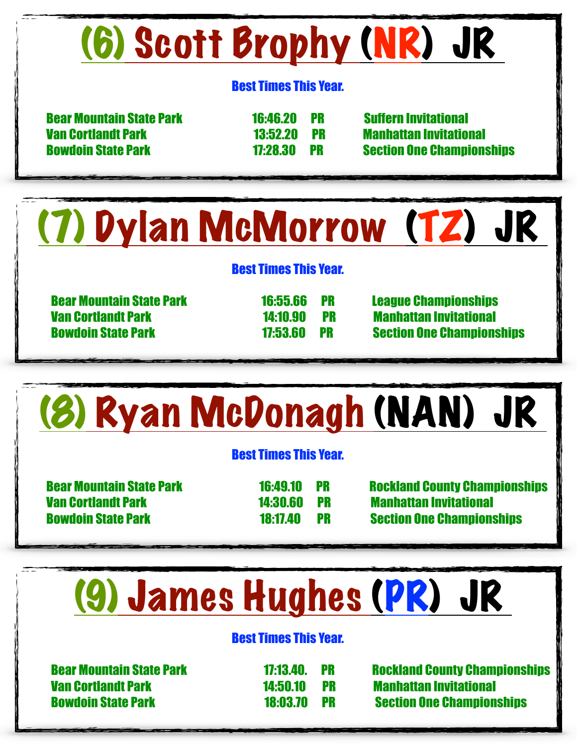# (6) Scott Brophy (NR) JR

#### Best Times This Year.

 Bear Mountain State Park 16:46.20 PR Suffern Invitational Van Cortlandt Park 13:52.20 PR Manhattan Invitational

Bowdoin State Park 17:28.30 PR Section One Championships

(7) Dylan McMorrow (TZ) JR

#### Best Times This Year.

Van Cortlandt Park 14:10.90 PR Manhattan Invitational

 Bear Mountain State Park 16:55.66 PR League Championships Bowdoin State Park 17:53.60 PR Section One Championships

# (8) Ryan McDonagh (NAN) JR

#### Best Times This Year.

Van Cortlandt Park 14:30.60 PR Manhattan Invitational

 Bear Mountain State Park 16:49.10 PR Rockland County Championships Bowdoin State Park 18:17.40 PR Section One Championships

### (9) James Hughes (PR) JR

#### Best Times This Year.

Van Cortlandt Park 14:50.10 PR Manhattan Invitational

 Bear Mountain State Park 17:13.40. PR Rockland County Championships Bowdoin State Park 18:03.70 PR Section One Championships